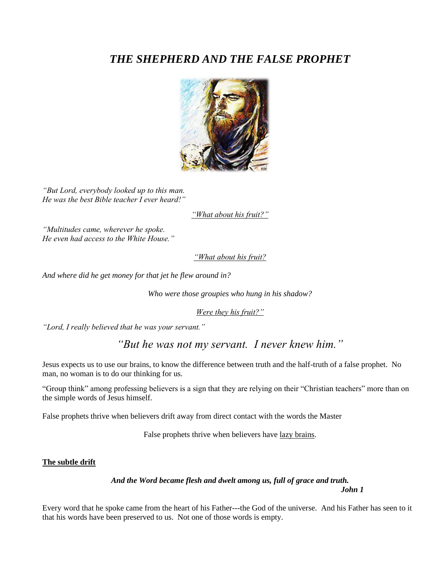# *THE SHEPHERD AND THE FALSE PROPHET*



*"But Lord, everybody looked up to this man. He was the best Bible teacher I ever heard!"*

*"What about his fruit?"*

*"Multitudes came, wherever he spoke. He even had access to the White House."*

*"What about his fruit?*

*And where did he get money for that jet he flew around in?*

*Who were those groupies who hung in his shadow?*

*Were they his fruit?"*

*"Lord, I really believed that he was your servant."*

*"But he was not my servant. I never knew him."*

Jesus expects us to use our brains, to know the difference between truth and the half-truth of a false prophet. No man, no woman is to do our thinking for us.

"Group think" among professing believers is a sign that they are relying on their "Christian teachers" more than on the simple words of Jesus himself.

False prophets thrive when believers drift away from direct contact with the words the Master

False prophets thrive when believers have <u>lazy brains</u>.

## **The subtle drift**

*And the Word became flesh and dwelt among us, full of grace and truth. John 1*

Every word that he spoke came from the heart of his Father---the God of the universe. And his Father has seen to it that his words have been preserved to us. Not one of those words is empty.